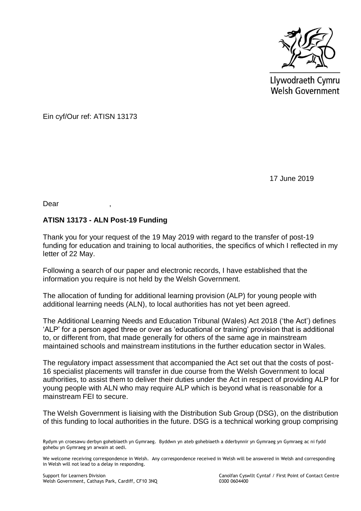

Llywodraeth Cymru **Welsh Government** 

Ein cyf/Our ref: ATISN 13173

17 June 2019

Dear ,

## **ATISN 13173 - ALN Post-19 Funding**

Thank you for your request of the 19 May 2019 with regard to the transfer of post-19 funding for education and training to local authorities, the specifics of which I reflected in my letter of 22 May.

Following a search of our paper and electronic records, I have established that the information you require is not held by the Welsh Government.

The allocation of funding for additional learning provision (ALP) for young people with additional learning needs (ALN), to local authorities has not yet been agreed.

The Additional Learning Needs and Education Tribunal (Wales) Act 2018 ('the Act') defines 'ALP' for a person aged three or over as 'educational or training' provision that is additional to, or different from, that made generally for others of the same age in mainstream maintained schools and mainstream institutions in the further education sector in Wales.

The regulatory impact assessment that accompanied the Act set out that the costs of post-16 specialist placements will transfer in due course from the Welsh Government to local authorities, to assist them to deliver their duties under the Act in respect of providing ALP for young people with ALN who may require ALP which is beyond what is reasonable for a mainstream FEI to secure.

The Welsh Government is liaising with the Distribution Sub Group (DSG), on the distribution of this funding to local authorities in the future. DSG is a technical working group comprising

Support for Learners Division Canolfan Cyswllt Cyntaf / First Point of Contact Centre

Rydym yn croesawu derbyn gohebiaeth yn Gymraeg. Byddwn yn ateb gohebiaeth a dderbynnir yn Gymraeg yn Gymraeg ac ni fydd gohebu yn Gymraeg yn arwain at oedi.

We welcome receiving correspondence in Welsh. Any correspondence received in Welsh will be answered in Welsh and corresponding in Welsh will not lead to a delay in responding.